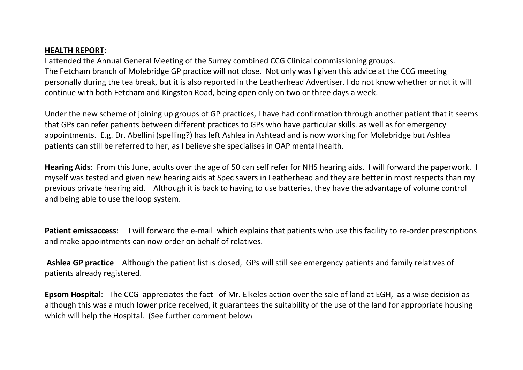## **HEALTH REPORT**:

I attended the Annual General Meeting of the Surrey combined CCG Clinical commissioning groups. The Fetcham branch of Molebridge GP practice will not close. Not only was I given this advice at the CCG meeting personally during the tea break, but it is also reported in the Leatherhead Advertiser. I do not know whether or not it will continue with both Fetcham and Kingston Road, being open only on two or three days a week.

Under the new scheme of joining up groups of GP practices, I have had confirmation through another patient that it seems that GPs can refer patients between different practices to GPs who have particular skills. as well as for emergency appointments. E.g. Dr. Abellini (spelling?) has left Ashlea in Ashtead and is now working for Molebridge but Ashlea patients can still be referred to her, as I believe she specialises in OAP mental health.

**Hearing Aids**: From this June, adults over the age of 50 can self refer for NHS hearing aids. I will forward the paperwork. I myself was tested and given new hearing aids at Spec savers in Leatherhead and they are better in most respects than my previous private hearing aid. Although it is back to having to use batteries, they have the advantage of volume control and being able to use the loop system.

**Patient emissaccess**: I will forward the e-mail which explains that patients who use this facility to re-order prescriptions and make appointments can now order on behalf of relatives.

**Ashlea GP practice** – Although the patient list is closed, GPs will still see emergency patients and family relatives of patients already registered.

**Epsom Hospital**: The CCG appreciates the fact of Mr. Elkeles action over the sale of land at EGH, as a wise decision as although this was a much lower price received, it guarantees the suitability of the use of the land for appropriate housing which will help the Hospital. (See further comment below)